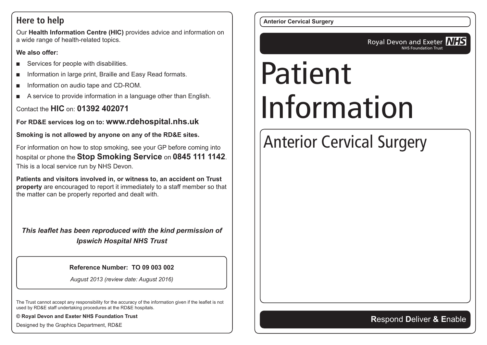#### **Here to help**

Our **Health Information Centre (HIC)** provides advice and information on a wide range of health-related topics.

#### **We also offer:**

- Services for people with disabilities.
- Information in large print, Braille and Easy Read formats.
- Information on audio tape and CD-ROM.
- A service to provide information in a language other than English.

#### Contact the **HIC** on: **01392 402071**

**For RD&E services log on to: www.rdehospital.nhs.uk**

**Smoking is not allowed by anyone on any of the RD&E sites.**

For information on how to stop smoking, see your GP before coming into hospital or phone the **Stop Smoking Service** on **0845 111 1142**. This is a local service run by NHS Devon.

**Patients and visitors involved in, or witness to, an accident on Trust property** are encouraged to report it immediately to a staff member so that the matter can be properly reported and dealt with.

*This leaflet has been reproduced with the kind permission of Ipswich Hospital NHS Trust*

#### **Reference Number: TO 09 003 002**

*August 2013 (review date: August 2016)*

The Trust cannot accept any responsibility for the accuracy of the information given if the leaflet is not used by RD&E staff undertaking procedures at the RD&E hospitals.

**© Royal Devon and Exeter NHS Foundation Trust**

Designed by the Graphics Department, RD&E

**Anterior Cervical Surgery**

Royal Devon and Exeter **NHS** NHS Foundation Trust

# Patient Information

# Anterior Cervical Surgery

#### **R**espond **D**eliver **& E**nable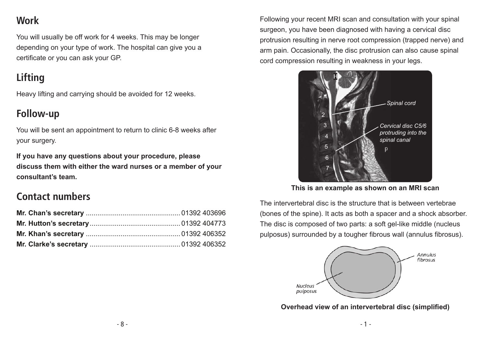# **Work**

You will usually be off work for 4 weeks. This may be longer depending on your type of work. The hospital can give you a certificate or you can ask your GP.

# **Lifting**

Heavy lifting and carrying should be avoided for 12 weeks.

#### **Follow-up**

You will be sent an appointment to return to clinic 6-8 weeks after your surgery.

**If you have any questions about your procedure, please discuss them with either the ward nurses or a member of your consultant's team.**

#### **Contact numbers**

Following your recent MRI scan and consultation with your spinal surgeon, you have been diagnosed with having a cervical disc protrusion resulting in nerve root compression (trapped nerve) and arm pain. Occasionally, the disc protrusion can also cause spinal cord compression resulting in weakness in your legs.



**This is an example as shown on an MRI scan**

The intervertebral disc is the structure that is between vertebrae (bones of the spine). It acts as both a spacer and a shock absorber. The disc is composed of two parts: a soft gel-like middle (nucleus pulposus) surrounded by a tougher fibrous wall (annulus fibrosus).



**Overhead view of an intervertebral disc (simplified)**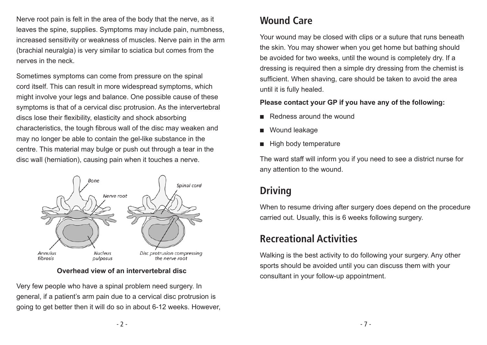Nerve root pain is felt in the area of the body that the nerve, as it leaves the spine, supplies. Symptoms may include pain, numbness, increased sensitivity or weakness of muscles. Nerve pain in the arm (brachial neuralgia) is very similar to sciatica but comes from the nerves in the neck.

Sometimes symptoms can come from pressure on the spinal cord itself. This can result in more widespread symptoms, which might involve your legs and balance. One possible cause of these symptoms is that of a cervical disc protrusion. As the intervertebral discs lose their flexibility, elasticity and shock absorbing characteristics, the tough fibrous wall of the disc may weaken and may no longer be able to contain the gel-like substance in the centre. This material may bulge or push out through a tear in the disc wall (herniation), causing pain when it touches a nerve.



**Overhead view of an intervertebral disc**

Very few people who have a spinal problem need surgery. In general, if a patient's arm pain due to a cervical disc protrusion is going to get better then it will do so in about 6-12 weeks. However,

### **Wound Care**

Your wound may be closed with clips or a suture that runs beneath the skin. You may shower when you get home but bathing should be avoided for two weeks, until the wound is completely dry. If a dressing is required then a simple dry dressing from the chemist is sufficient. When shaving, care should be taken to avoid the area until it is fully healed.

#### **Please contact your GP if you have any of the following:**

- Redness around the wound
- Wound leakage
- **High body temperature**

The ward staff will inform you if you need to see a district nurse for any attention to the wound.

# **Driving**

When to resume driving after surgery does depend on the procedure carried out. Usually, this is 6 weeks following surgery.

# **Recreational Activities**

Walking is the best activity to do following your surgery. Any other sports should be avoided until you can discuss them with your consultant in your follow-up appointment.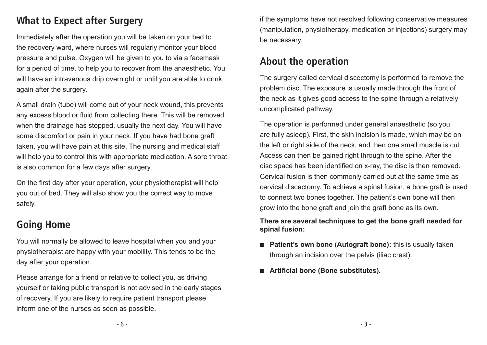### **What to Expect after Surgery**

Immediately after the operation you will be taken on your bed to the recovery ward, where nurses will regularly monitor your blood pressure and pulse. Oxygen will be given to you to via a facemask for a period of time, to help you to recover from the anaesthetic. You will have an intravenous drip overnight or until you are able to drink again after the surgery.

A small drain (tube) will come out of your neck wound, this prevents any excess blood or fluid from collecting there. This will be removed when the drainage has stopped, usually the next day. You will have some discomfort or pain in your neck. If you have had bone graft taken, you will have pain at this site. The nursing and medical staff will help you to control this with appropriate medication. A sore throat is also common for a few days after surgery.

On the first day after your operation, your physiotherapist will help you out of bed. They will also show you the correct way to move safely.

#### **Going Home**

You will normally be allowed to leave hospital when you and your physiotherapist are happy with your mobility. This tends to be the day after your operation.

Please arrange for a friend or relative to collect you, as driving yourself or taking public transport is not advised in the early stages of recovery. If you are likely to require patient transport please inform one of the nurses as soon as possible.

if the symptoms have not resolved following conservative measures (manipulation, physiotherapy, medication or injections) surgery may be necessary.

#### **About the operation**

The surgery called cervical discectomy is performed to remove the problem disc. The exposure is usually made through the front of the neck as it gives good access to the spine through a relatively uncomplicated pathway.

The operation is performed under general anaesthetic (so you are fully asleep). First, the skin incision is made, which may be on the left or right side of the neck, and then one small muscle is cut. Access can then be gained right through to the spine. After the disc space has been identified on x-ray, the disc is then removed. Cervical fusion is then commonly carried out at the same time as cervical discectomy. To achieve a spinal fusion, a bone graft is used to connect two bones together. The patient's own bone will then grow into the bone graft and join the graft bone as its own.

#### **There are several techniques to get the bone graft needed for spinal fusion:**

- **Patient's own bone (Autograft bone):** this is usually taken through an incision over the pelvis (iliac crest).
- **Artificial bone (Bone substitutes).**